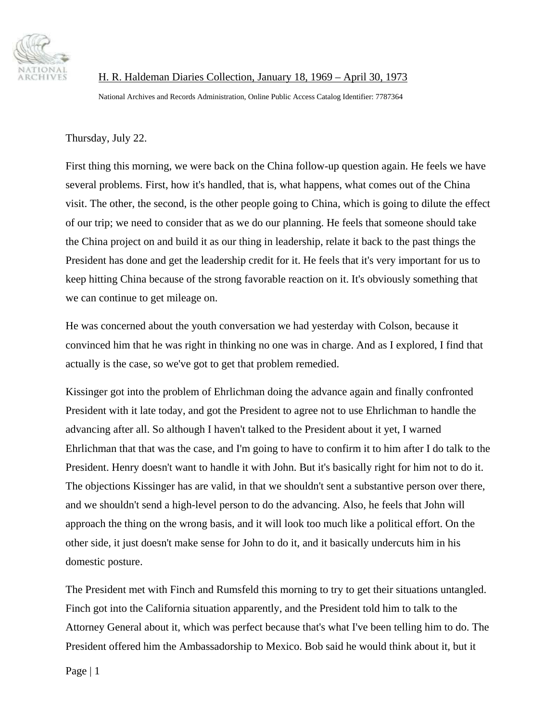

H. R. Haldeman Diaries Collection, January 18, 1969 – April 30, 1973

National Archives and Records Administration, Online Public Access Catalog Identifier: 7787364

Thursday, July 22.

First thing this morning, we were back on the China follow-up question again. He feels we have several problems. First, how it's handled, that is, what happens, what comes out of the China visit. The other, the second, is the other people going to China, which is going to dilute the effect of our trip; we need to consider that as we do our planning. He feels that someone should take the China project on and build it as our thing in leadership, relate it back to the past things the President has done and get the leadership credit for it. He feels that it's very important for us to keep hitting China because of the strong favorable reaction on it. It's obviously something that we can continue to get mileage on.

He was concerned about the youth conversation we had yesterday with Colson, because it convinced him that he was right in thinking no one was in charge. And as I explored, I find that actually is the case, so we've got to get that problem remedied.

Kissinger got into the problem of Ehrlichman doing the advance again and finally confronted President with it late today, and got the President to agree not to use Ehrlichman to handle the advancing after all. So although I haven't talked to the President about it yet, I warned Ehrlichman that that was the case, and I'm going to have to confirm it to him after I do talk to the President. Henry doesn't want to handle it with John. But it's basically right for him not to do it. The objections Kissinger has are valid, in that we shouldn't sent a substantive person over there, and we shouldn't send a high-level person to do the advancing. Also, he feels that John will approach the thing on the wrong basis, and it will look too much like a political effort. On the other side, it just doesn't make sense for John to do it, and it basically undercuts him in his domestic posture.

The President met with Finch and Rumsfeld this morning to try to get their situations untangled. Finch got into the California situation apparently, and the President told him to talk to the Attorney General about it, which was perfect because that's what I've been telling him to do. The President offered him the Ambassadorship to Mexico. Bob said he would think about it, but it